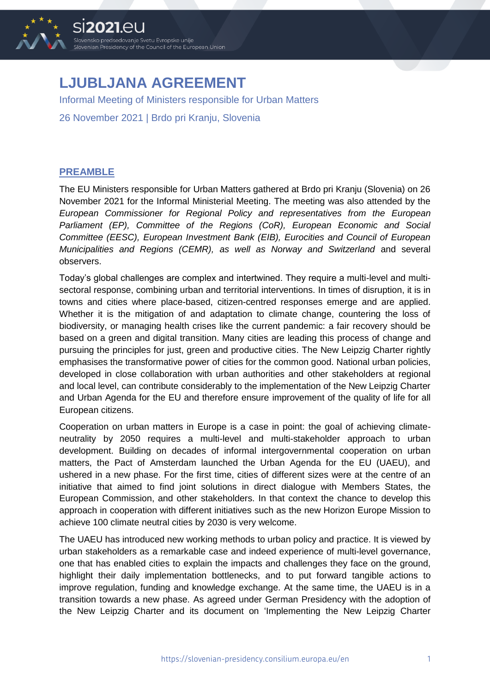

## **LJUBLJANA AGREEMENT**

Informal Meeting of Ministers responsible for Urban Matters

26 November 2021 | Brdo pri Kranju, Slovenia

## **PREAMBLE**

The EU Ministers responsible for Urban Matters gathered at Brdo pri Kranju (Slovenia) on 26 November 2021 for the Informal Ministerial Meeting. The meeting was also attended by the *European Commissioner for Regional Policy and representatives from the European Parliament (EP), Committee of the Regions (CoR), European Economic and Social Committee (EESC), European Investment Bank (EIB), Eurocities and Council of European Municipalities and Regions (CEMR), as well as Norway and Switzerland* and several observers.

Today's global challenges are complex and intertwined. They require a multi-level and multisectoral response, combining urban and territorial interventions. In times of disruption, it is in towns and cities where place-based, citizen-centred responses emerge and are applied. Whether it is the mitigation of and adaptation to climate change, countering the loss of biodiversity, or managing health crises like the current pandemic: a fair recovery should be based on a green and digital transition. Many cities are leading this process of change and pursuing the principles for just, green and productive cities. The New Leipzig Charter rightly emphasises the transformative power of cities for the common good. National urban policies, developed in close collaboration with urban authorities and other stakeholders at regional and local level, can contribute considerably to the implementation of the New Leipzig Charter and Urban Agenda for the EU and therefore ensure improvement of the quality of life for all European citizens.

Cooperation on urban matters in Europe is a case in point: the goal of achieving climateneutrality by 2050 requires a multi-level and multi-stakeholder approach to urban development. Building on decades of informal intergovernmental cooperation on urban matters, the Pact of Amsterdam launched the Urban Agenda for the EU (UAEU), and ushered in a new phase. For the first time, cities of different sizes were at the centre of an initiative that aimed to find joint solutions in direct dialogue with Members States, the European Commission, and other stakeholders. In that context the chance to develop this approach in cooperation with different initiatives such as the new Horizon Europe Mission to achieve 100 climate neutral cities by 2030 is very welcome.

The UAEU has introduced new working methods to urban policy and practice. It is viewed by urban stakeholders as a remarkable case and indeed experience of multi-level governance, one that has enabled cities to explain the impacts and challenges they face on the ground, highlight their daily implementation bottlenecks, and to put forward tangible actions to improve regulation, funding and knowledge exchange. At the same time, the UAEU is in a transition towards a new phase. As agreed under German Presidency with the adoption of the New Leipzig Charter and its document on 'Implementing the New Leipzig Charter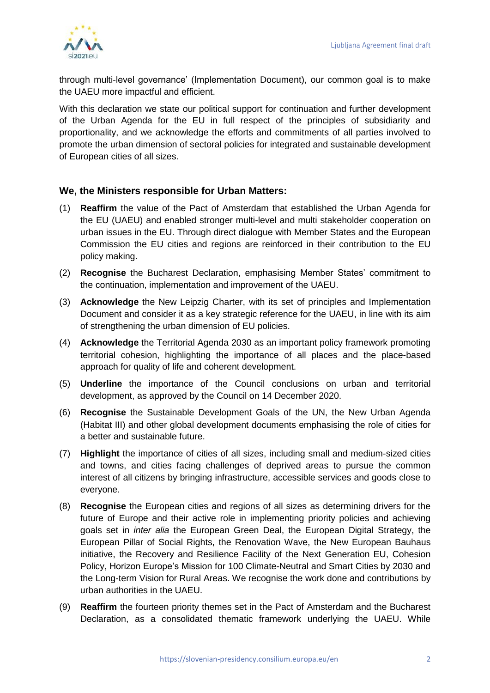

through multi-level governance' (Implementation Document), our common goal is to make the UAEU more impactful and efficient.

With this declaration we state our political support for continuation and further development of the Urban Agenda for the EU in full respect of the principles of subsidiarity and proportionality, and we acknowledge the efforts and commitments of all parties involved to promote the urban dimension of sectoral policies for integrated and sustainable development of European cities of all sizes.

## **We, the Ministers responsible for Urban Matters:**

- (1) **Reaffirm** the value of the Pact of Amsterdam that established the Urban Agenda for the EU (UAEU) and enabled stronger multi-level and multi stakeholder cooperation on urban issues in the EU. Through direct dialogue with Member States and the European Commission the EU cities and regions are reinforced in their contribution to the EU policy making.
- (2) **Recognise** the Bucharest Declaration, emphasising Member States' commitment to the continuation, implementation and improvement of the UAEU.
- (3) **Acknowledge** the New Leipzig Charter, with its set of principles and Implementation Document and consider it as a key strategic reference for the UAEU, in line with its aim of strengthening the urban dimension of EU policies.
- (4) **Acknowledge** the Territorial Agenda 2030 as an important policy framework promoting territorial cohesion, highlighting the importance of all places and the place-based approach for quality of life and coherent development.
- (5) **Underline** the importance of the Council conclusions on urban and territorial development, as approved by the Council on 14 December 2020.
- (6) **Recognise** the Sustainable Development Goals of the UN, the New Urban Agenda (Habitat III) and other global development documents emphasising the role of cities for a better and sustainable future.
- (7) **Highlight** the importance of cities of all sizes, including small and medium-sized cities and towns, and cities facing challenges of deprived areas to pursue the common interest of all citizens by bringing infrastructure, accessible services and goods close to everyone.
- (8) **Recognise** the European cities and regions of all sizes as determining drivers for the future of Europe and their active role in implementing priority policies and achieving goals set in *inter alia* the European Green Deal, the European Digital Strategy, the European Pillar of Social Rights, the Renovation Wave, the New European Bauhaus initiative, the Recovery and Resilience Facility of the Next Generation EU, Cohesion Policy, Horizon Europe's Mission for [100 Climate-Neutral and Smart Cities by 2030](https://ec.europa.eu/info/research-and-innovation/funding/funding-opportunities/funding-programmes-and-open-calls/horizon-europe/missions-horizon-europe/climate-neutral-and-smart-cities_en) and the Long-term Vision for Rural Areas. We recognise the work done and contributions by urban authorities in the UAEU.
- (9) **Reaffirm** the fourteen priority themes set in the Pact of Amsterdam and the Bucharest Declaration, as a consolidated thematic framework underlying the UAEU. While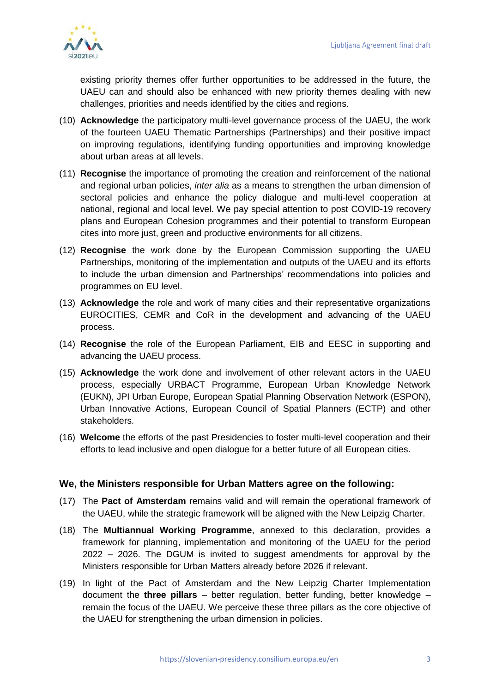

existing priority themes offer further opportunities to be addressed in the future, the UAEU can and should also be enhanced with new priority themes dealing with new challenges, priorities and needs identified by the cities and regions.

- (10) **Acknowledge** the participatory multi-level governance process of the UAEU, the work of the fourteen UAEU Thematic Partnerships (Partnerships) and their positive impact on improving regulations, identifying funding opportunities and improving knowledge about urban areas at all levels.
- (11) **Recognise** the importance of promoting the creation and reinforcement of the national and regional urban policies, *inter alia* as a means to strengthen the urban dimension of sectoral policies and enhance the policy dialogue and multi-level cooperation at national, regional and local level. We pay special attention to post COVID-19 recovery plans and European Cohesion programmes and their potential to transform European cites into more just, green and productive environments for all citizens.
- (12) **Recognise** the work done by the European Commission supporting the UAEU Partnerships, monitoring of the implementation and outputs of the UAEU and its efforts to include the urban dimension and Partnerships' recommendations into policies and programmes on EU level.
- (13) **Acknowledge** the role and work of many cities and their representative organizations EUROCITIES, CEMR and CoR in the development and advancing of the UAEU process.
- (14) **Recognise** the role of the European Parliament, EIB and EESC in supporting and advancing the UAEU process.
- (15) **Acknowledge** the work done and involvement of other relevant actors in the UAEU process, especially URBACT Programme, European Urban Knowledge Network (EUKN), JPI Urban Europe, European Spatial Planning Observation Network (ESPON), Urban Innovative Actions, European Council of Spatial Planners (ECTP) and other stakeholders.
- (16) **Welcome** the efforts of the past Presidencies to foster multi-level cooperation and their efforts to lead inclusive and open dialogue for a better future of all European cities.

## **We, the Ministers responsible for Urban Matters agree on the following:**

- (17) The **Pact of Amsterdam** remains valid and will remain the operational framework of the UAEU, while the strategic framework will be aligned with the New Leipzig Charter.
- (18) The **Multiannual Working Programme**, annexed to this declaration, provides a framework for planning, implementation and monitoring of the UAEU for the period 2022 – 2026. The DGUM is invited to suggest amendments for approval by the Ministers responsible for Urban Matters already before 2026 if relevant.
- (19) In light of the Pact of Amsterdam and the New Leipzig Charter Implementation document the **three pillars** – better regulation, better funding, better knowledge – remain the focus of the UAEU. We perceive these three pillars as the core objective of the UAEU for strengthening the urban dimension in policies.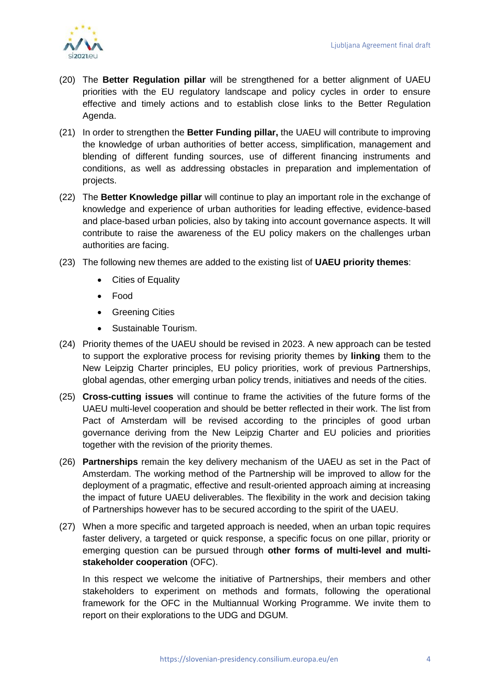

- (20) The **Better Regulation pillar** will be strengthened for a better alignment of UAEU priorities with the EU regulatory landscape and policy cycles in order to ensure effective and timely actions and to establish close links to the Better Regulation Agenda.
- (21) In order to strengthen the **Better Funding pillar,** the UAEU will contribute to improving the knowledge of urban authorities of better access, simplification, management and blending of different funding sources, use of different financing instruments and conditions, as well as addressing obstacles in preparation and implementation of projects.
- (22) The **Better Knowledge pillar** will continue to play an important role in the exchange of knowledge and experience of urban authorities for leading effective, evidence-based and place-based urban policies, also by taking into account governance aspects. It will contribute to raise the awareness of the EU policy makers on the challenges urban authorities are facing.
- (23) The following new themes are added to the existing list of **UAEU priority themes**:
	- Cities of Equality
	- Food
	- **•** Greening Cities
	- Sustainable Tourism.
- (24) Priority themes of the UAEU should be revised in 2023. A new approach can be tested to support the explorative process for revising priority themes by **linking** them to the New Leipzig Charter principles, EU policy priorities, work of previous Partnerships, global agendas, other emerging urban policy trends, initiatives and needs of the cities.
- (25) **Cross-cutting issues** will continue to frame the activities of the future forms of the UAEU multi-level cooperation and should be better reflected in their work. The list from Pact of Amsterdam will be revised according to the principles of good urban governance deriving from the New Leipzig Charter and EU policies and priorities together with the revision of the priority themes.
- (26) **Partnerships** remain the key delivery mechanism of the UAEU as set in the Pact of Amsterdam. The working method of the Partnership will be improved to allow for the deployment of a pragmatic, effective and result-oriented approach aiming at increasing the impact of future UAEU deliverables. The flexibility in the work and decision taking of Partnerships however has to be secured according to the spirit of the UAEU.
- (27) When a more specific and targeted approach is needed, when an urban topic requires faster delivery, a targeted or quick response, a specific focus on one pillar, priority or emerging question can be pursued through **other forms of multi-level and multistakeholder cooperation** (OFC).

In this respect we welcome the initiative of Partnerships, their members and other stakeholders to experiment on methods and formats, following the operational framework for the OFC in the Multiannual Working Programme. We invite them to report on their explorations to the UDG and DGUM.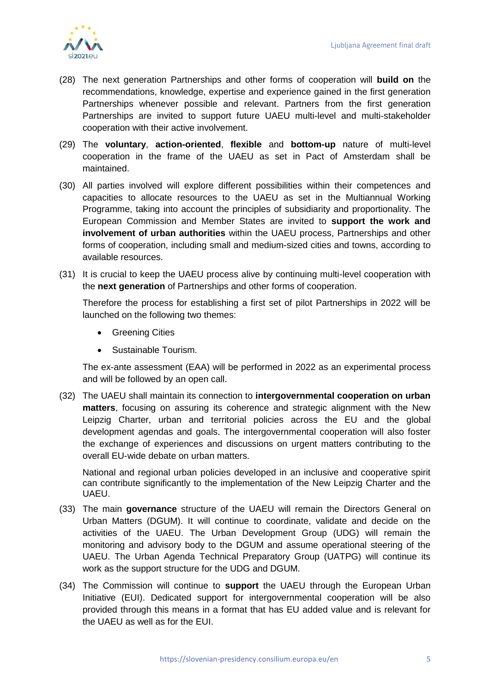

- (28) The next generation Partnerships and other forms of cooperation will **build on** the recommendations, knowledge, expertise and experience gained in the first generation Partnerships whenever possible and relevant. Partners from the first generation Partnerships are invited to support future UAEU multi-level and multi-stakeholder cooperation with their active involvement.
- (29) The **voluntary**, **action-oriented**, **flexible** and **bottom-up** nature of multi-level cooperation in the frame of the UAEU as set in Pact of Amsterdam shall be maintained.
- (30) All parties involved will explore different possibilities within their competences and capacities to allocate resources to the UAEU as set in the Multiannual Working Programme, taking into account the principles of subsidiarity and proportionality. The European Commission and Member States are invited to **support the work and involvement of urban authorities** within the UAEU process, Partnerships and other forms of cooperation, including small and medium-sized cities and towns, according to available resources.
- (31) It is crucial to keep the UAEU process alive by continuing multi-level cooperation with the **next generation** of Partnerships and other forms of cooperation.

Therefore the process for establishing a first set of pilot Partnerships in 2022 will be launched on the following two themes:

- **•** Greening Cities
- Sustainable Tourism.

The ex-ante assessment (EAA) will be performed in 2022 as an experimental process and will be followed by an open call.

(32) The UAEU shall maintain its connection to **intergovernmental cooperation on urban matters**, focusing on assuring its coherence and strategic alignment with the New Leipzig Charter, urban and territorial policies across the EU and the global development agendas and goals. The intergovernmental cooperation will also foster the exchange of experiences and discussions on urgent matters contributing to the overall EU-wide debate on urban matters.

National and regional urban policies developed in an inclusive and cooperative spirit can contribute significantly to the implementation of the New Leipzig Charter and the UAEU.

- (33) The main **governance** structure of the UAEU will remain the Directors General on Urban Matters (DGUM). It will continue to coordinate, validate and decide on the activities of the UAEU. The Urban Development Group (UDG) will remain the monitoring and advisory body to the DGUM and assume operational steering of the UAEU. The Urban Agenda Technical Preparatory Group (UATPG) will continue its work as the support structure for the UDG and DGUM.
- (34) The Commission will continue to **support** the UAEU through the European Urban Initiative (EUI). Dedicated support for intergovernmental cooperation will be also provided through this means in a format that has EU added value and is relevant for the UAEU as well as for the EUI.